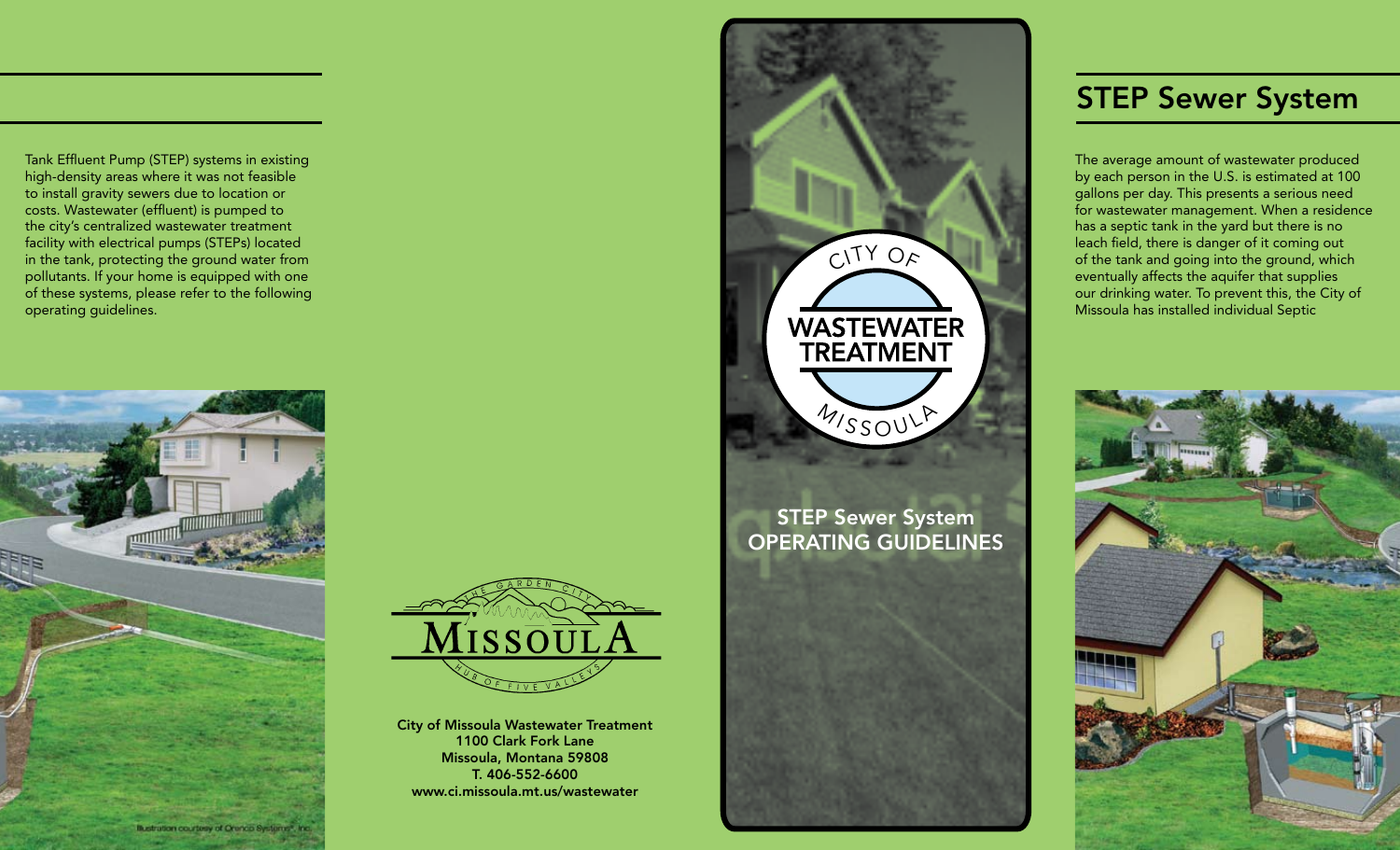Tank Effluent Pump (STEP) systems in existing high-density areas where it was not feasible to install gravity sewers due to location or costs. Wastewater (effluent) is pumped to the city's centralized wastewater treatment facility with electrical pumps (STEPs) located in the tank, protecting the ground water from pollutants. If your home is equipped with one of these systems, please refer to the following operating guidelines.





City of Missoula Wastewater Treatment 1100 Clark Fork Lane Missoula, Montana 59808 T. 406-552-6600 www.ci.missoula.mt.us/wastewater



# STEP Sewer System Operating Guidelines



# **STEP Sewer System**

The average amount of wastewater produced by each person in the U.S. is estimated at 100 gallons per day. This presents a serious need for wastewater management. When a residence has a septic tank in the yard but there is no leach field, there is danger of it coming out of the tank and going into the ground, which eventually affects the aquifer that supplies our drinking water. To prevent this, the City of Missoula has installed individual Septic